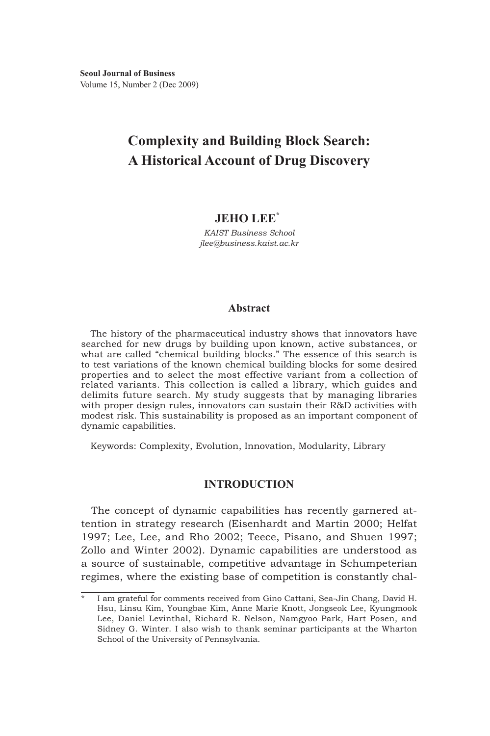# **Complexity and Building Block Search: A Historical Account of Drug Discovery**

# **JEHO LEE<sup>\*</sup>**

*KAIST Business School jlee@business.kaist.ac.kr* 

## **Abstract**

The history of the pharmaceutical industry shows that innovators have searched for new drugs by building upon known, active substances, or what are called "chemical building blocks." The essence of this search is to test variations of the known chemical building blocks for some desired properties and to select the most effective variant from a collection of related variants. This collection is called a library, which guides and delimits future search. My study suggests that by managing libraries with proper design rules, innovators can sustain their R&D activities with modest risk. This sustainability is proposed as an important component of dynamic capabilities.

Keywords: Complexity, Evolution, Innovation, Modularity, Library

## **INTRODUCTION**

The concept of dynamic capabilities has recently garnered attention in strategy research (Eisenhardt and Martin 2000; Helfat 1997; Lee, Lee, and Rho 2002; Teece, Pisano, and Shuen 1997; Zollo and Winter 2002). Dynamic capabilities are understood as a source of sustainable, competitive advantage in Schumpeterian regimes, where the existing base of competition is constantly chal-

I am grateful for comments received from Gino Cattani, Sea-Jin Chang, David H. Hsu, Linsu Kim, Youngbae Kim, Anne Marie Knott, Jongseok Lee, Kyungmook Lee, Daniel Levinthal, Richard R. Nelson, Namgyoo Park, Hart Posen, and Sidney G. Winter. I also wish to thank seminar participants at the Wharton School of the University of Pennsylvania.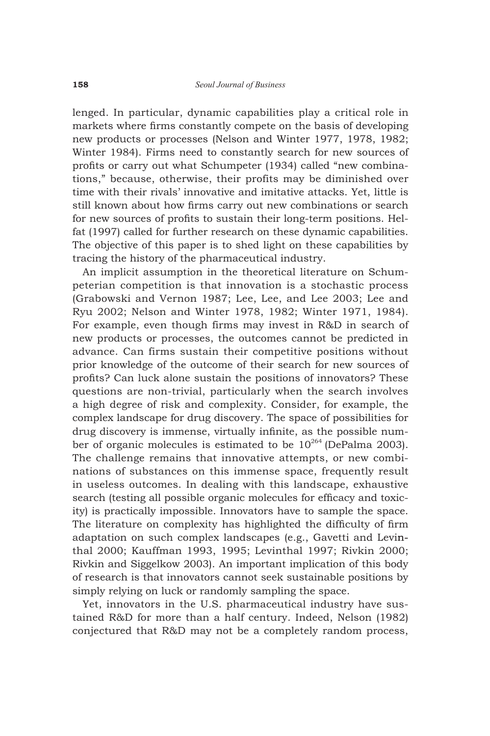lenged. In particular, dynamic capabilities play a critical role in markets where firms constantly compete on the basis of developing new products or processes (Nelson and Winter 1977, 1978, 1982; Winter 1984). Firms need to constantly search for new sources of profits or carry out what Schumpeter (1934) called "new combinations," because, otherwise, their profits may be diminished over time with their rivals' innovative and imitative attacks. Yet, little is still known about how firms carry out new combinations or search for new sources of profits to sustain their long-term positions. Helfat (1997) called for further research on these dynamic capabilities. The objective of this paper is to shed light on these capabilities by tracing the history of the pharmaceutical industry.

An implicit assumption in the theoretical literature on Schumpeterian competition is that innovation is a stochastic process (Grabowski and Vernon 1987; Lee, Lee, and Lee 2003; Lee and Ryu 2002; Nelson and Winter 1978, 1982; Winter 1971, 1984). For example, even though firms may invest in R&D in search of new products or processes, the outcomes cannot be predicted in advance. Can firms sustain their competitive positions without prior knowledge of the outcome of their search for new sources of profits? Can luck alone sustain the positions of innovators? These questions are non-trivial, particularly when the search involves a high degree of risk and complexity. Consider, for example, the complex landscape for drug discovery. The space of possibilities for drug discovery is immense, virtually infinite, as the possible number of organic molecules is estimated to be  $10^{264}$  (DePalma 2003). The challenge remains that innovative attempts, or new combinations of substances on this immense space, frequently result in useless outcomes. In dealing with this landscape, exhaustive search (testing all possible organic molecules for efficacy and toxicity) is practically impossible. Innovators have to sample the space. The literature on complexity has highlighted the difficulty of firm adaptation on such complex landscapes (e.g., Gavetti and Levinthal 2000; Kauffman 1993, 1995; Levinthal 1997; Rivkin 2000; Rivkin and Siggelkow 2003). An important implication of this body of research is that innovators cannot seek sustainable positions by simply relying on luck or randomly sampling the space.

Yet, innovators in the U.S. pharmaceutical industry have sustained R&D for more than a half century. Indeed, Nelson (1982) conjectured that R&D may not be a completely random process,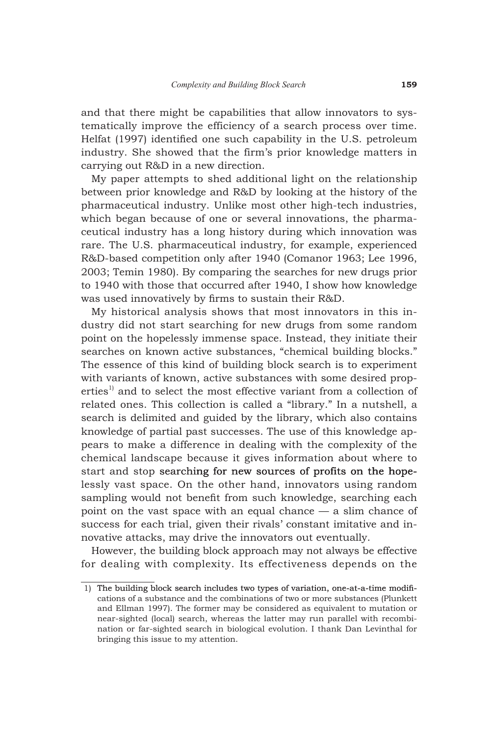and that there might be capabilities that allow innovators to systematically improve the efficiency of a search process over time. Helfat (1997) identified one such capability in the U.S. petroleum industry. She showed that the firm's prior knowledge matters in carrying out R&D in a new direction.

My paper attempts to shed additional light on the relationship between prior knowledge and R&D by looking at the history of the pharmaceutical industry. Unlike most other high-tech industries, which began because of one or several innovations, the pharmaceutical industry has a long history during which innovation was rare. The U.S. pharmaceutical industry, for example, experienced R&D-based competition only after 1940 (Comanor 1963; Lee 1996, 2003; Temin 1980). By comparing the searches for new drugs prior to 1940 with those that occurred after 1940, I show how knowledge was used innovatively by firms to sustain their R&D.

My historical analysis shows that most innovators in this industry did not start searching for new drugs from some random point on the hopelessly immense space. Instead, they initiate their searches on known active substances, "chemical building blocks." The essence of this kind of building block search is to experiment with variants of known, active substances with some desired properties<sup>1)</sup> and to select the most effective variant from a collection of related ones. This collection is called a "library." In a nutshell, a search is delimited and guided by the library, which also contains knowledge of partial past successes. The use of this knowledge appears to make a difference in dealing with the complexity of the chemical landscape because it gives information about where to start and stop searching for new sources of profits on the hopelessly vast space. On the other hand, innovators using random sampling would not benefit from such knowledge, searching each point on the vast space with an equal chance — a slim chance of success for each trial, given their rivals' constant imitative and innovative attacks, may drive the innovators out eventually.

However, the building block approach may not always be effective for dealing with complexity. Its effectiveness depends on the

 <sup>1)</sup> The building block search includes two types of variation, one-at-a-time modifications of a substance and the combinations of two or more substances (Plunkett and Ellman 1997). The former may be considered as equivalent to mutation or near-sighted (local) search, whereas the latter may run parallel with recombination or far-sighted search in biological evolution. I thank Dan Levinthal for bringing this issue to my attention.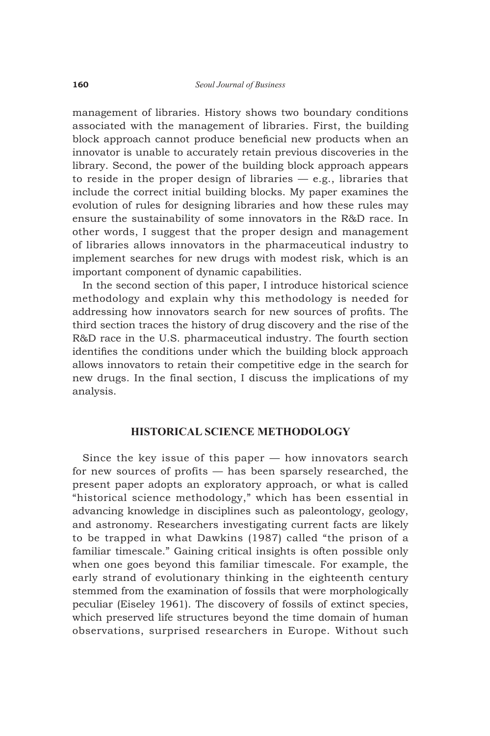management of libraries. History shows two boundary conditions associated with the management of libraries. First, the building block approach cannot produce beneficial new products when an innovator is unable to accurately retain previous discoveries in the library. Second, the power of the building block approach appears to reside in the proper design of libraries  $-$  e.g., libraries that include the correct initial building blocks. My paper examines the evolution of rules for designing libraries and how these rules may ensure the sustainability of some innovators in the R&D race. In other words, I suggest that the proper design and management of libraries allows innovators in the pharmaceutical industry to implement searches for new drugs with modest risk, which is an important component of dynamic capabilities.

In the second section of this paper, I introduce historical science methodology and explain why this methodology is needed for addressing how innovators search for new sources of profits. The third section traces the history of drug discovery and the rise of the R&D race in the U.S. pharmaceutical industry. The fourth section identifies the conditions under which the building block approach allows innovators to retain their competitive edge in the search for new drugs. In the final section, I discuss the implications of my analysis.

## **HISTORICAL SCIENCE METHODOLOGY**

Since the key issue of this paper — how innovators search for new sources of profits — has been sparsely researched, the present paper adopts an exploratory approach, or what is called "historical science methodology," which has been essential in advancing knowledge in disciplines such as paleontology, geology, and astronomy. Researchers investigating current facts are likely to be trapped in what Dawkins (1987) called "the prison of a familiar timescale." Gaining critical insights is often possible only when one goes beyond this familiar timescale. For example, the early strand of evolutionary thinking in the eighteenth century stemmed from the examination of fossils that were morphologically peculiar (Eiseley 1961). The discovery of fossils of extinct species, which preserved life structures beyond the time domain of human observations, surprised researchers in Europe. Without such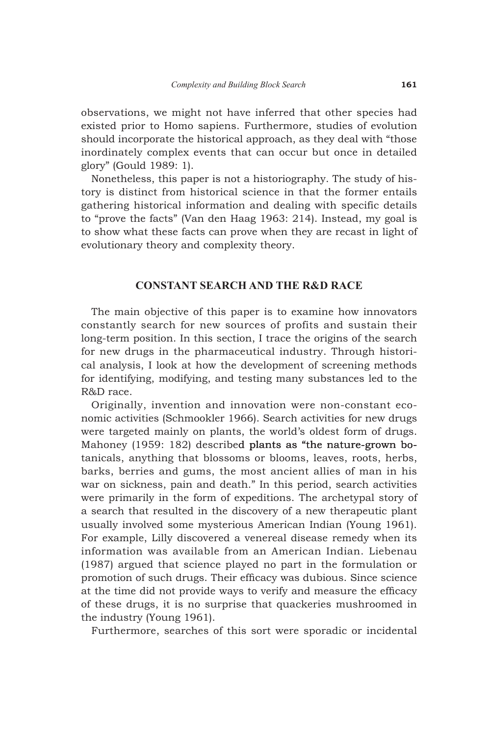observations, we might not have inferred that other species had existed prior to Homo sapiens. Furthermore, studies of evolution should incorporate the historical approach, as they deal with "those inordinately complex events that can occur but once in detailed glory" (Gould 1989: 1).

Nonetheless, this paper is not a historiography. The study of history is distinct from historical science in that the former entails gathering historical information and dealing with specific details to "prove the facts" (Van den Haag 1963: 214). Instead, my goal is to show what these facts can prove when they are recast in light of evolutionary theory and complexity theory.

## **CONSTANT SEARCH AND THE R&D RACE**

The main objective of this paper is to examine how innovators constantly search for new sources of profits and sustain their long-term position. In this section, I trace the origins of the search for new drugs in the pharmaceutical industry. Through historical analysis, I look at how the development of screening methods for identifying, modifying, and testing many substances led to the R&D race.

Originally, invention and innovation were non-constant economic activities (Schmookler 1966). Search activities for new drugs were targeted mainly on plants, the world's oldest form of drugs. Mahoney (1959: 182) described plants as "the nature-grown botanicals, anything that blossoms or blooms, leaves, roots, herbs, barks, berries and gums, the most ancient allies of man in his war on sickness, pain and death." In this period, search activities were primarily in the form of expeditions. The archetypal story of a search that resulted in the discovery of a new therapeutic plant usually involved some mysterious American Indian (Young 1961). For example, Lilly discovered a venereal disease remedy when its information was available from an American Indian. Liebenau (1987) argued that science played no part in the formulation or promotion of such drugs. Their efficacy was dubious. Since science at the time did not provide ways to verify and measure the efficacy of these drugs, it is no surprise that quackeries mushroomed in the industry (Young 1961).

Furthermore, searches of this sort were sporadic or incidental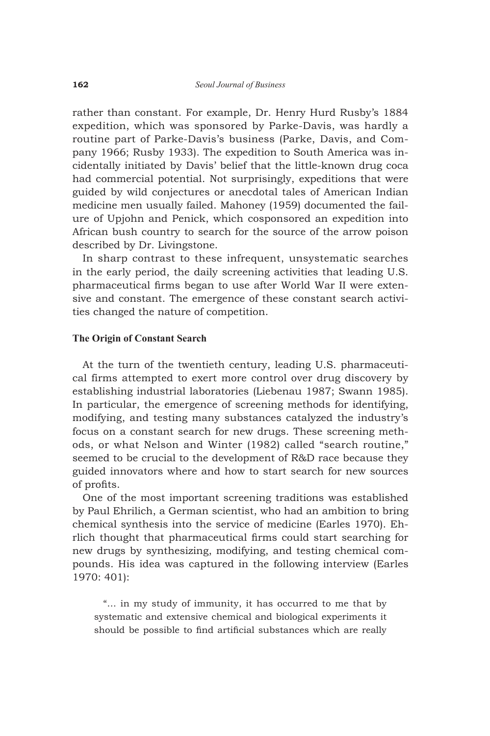rather than constant. For example, Dr. Henry Hurd Rusby's 1884 expedition, which was sponsored by Parke-Davis, was hardly a routine part of Parke-Davis's business (Parke, Davis, and Company 1966; Rusby 1933). The expedition to South America was incidentally initiated by Davis' belief that the little-known drug coca had commercial potential. Not surprisingly, expeditions that were guided by wild conjectures or anecdotal tales of American Indian medicine men usually failed. Mahoney (1959) documented the failure of Upjohn and Penick, which cosponsored an expedition into African bush country to search for the source of the arrow poison described by Dr. Livingstone.

In sharp contrast to these infrequent, unsystematic searches in the early period, the daily screening activities that leading U.S. pharmaceutical firms began to use after World War II were extensive and constant. The emergence of these constant search activities changed the nature of competition.

#### **The Origin of Constant Search**

At the turn of the twentieth century, leading U.S. pharmaceutical firms attempted to exert more control over drug discovery by establishing industrial laboratories (Liebenau 1987; Swann 1985). In particular, the emergence of screening methods for identifying, modifying, and testing many substances catalyzed the industry's focus on a constant search for new drugs. These screening methods, or what Nelson and Winter (1982) called "search routine," seemed to be crucial to the development of R&D race because they guided innovators where and how to start search for new sources of profits.

One of the most important screening traditions was established by Paul Ehrilich, a German scientist, who had an ambition to bring chemical synthesis into the service of medicine (Earles 1970). Ehrlich thought that pharmaceutical firms could start searching for new drugs by synthesizing, modifying, and testing chemical compounds. His idea was captured in the following interview (Earles 1970: 401):

"… in my study of immunity, it has occurred to me that by systematic and extensive chemical and biological experiments it should be possible to find artificial substances which are really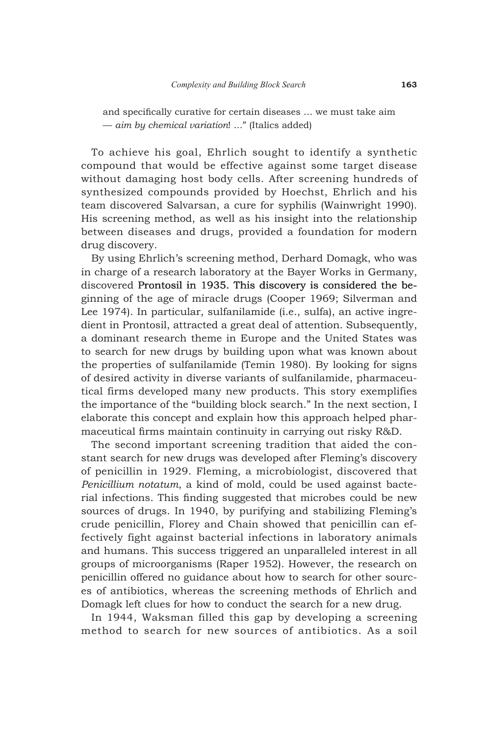and specifically curative for certain diseases … we must take aim — *aim by chemical variation*! ..." (Italics added)

To achieve his goal, Ehrlich sought to identify a synthetic compound that would be effective against some target disease without damaging host body cells. After screening hundreds of synthesized compounds provided by Hoechst, Ehrlich and his team discovered Salvarsan, a cure for syphilis (Wainwright 1990). His screening method, as well as his insight into the relationship between diseases and drugs, provided a foundation for modern drug discovery.

By using Ehrlich's screening method, Derhard Domagk, who was in charge of a research laboratory at the Bayer Works in Germany, discovered Prontosil in 1935. This discovery is considered the beginning of the age of miracle drugs (Cooper 1969; Silverman and Lee 1974). In particular, sulfanilamide (i.e., sulfa), an active ingredient in Prontosil, attracted a great deal of attention. Subsequently, a dominant research theme in Europe and the United States was to search for new drugs by building upon what was known about the properties of sulfanilamide (Temin 1980). By looking for signs of desired activity in diverse variants of sulfanilamide, pharmaceutical firms developed many new products. This story exemplifies the importance of the "building block search." In the next section, I elaborate this concept and explain how this approach helped pharmaceutical firms maintain continuity in carrying out risky R&D.

The second important screening tradition that aided the constant search for new drugs was developed after Fleming's discovery of penicillin in 1929. Fleming, a microbiologist, discovered that *Penicillium notatum*, a kind of mold, could be used against bacterial infections. This finding suggested that microbes could be new sources of drugs. In 1940, by purifying and stabilizing Fleming's crude penicillin, Florey and Chain showed that penicillin can effectively fight against bacterial infections in laboratory animals and humans. This success triggered an unparalleled interest in all groups of microorganisms (Raper 1952). However, the research on penicillin offered no guidance about how to search for other sources of antibiotics, whereas the screening methods of Ehrlich and Domagk left clues for how to conduct the search for a new drug.

In 1944, Waksman filled this gap by developing a screening method to search for new sources of antibiotics. As a soil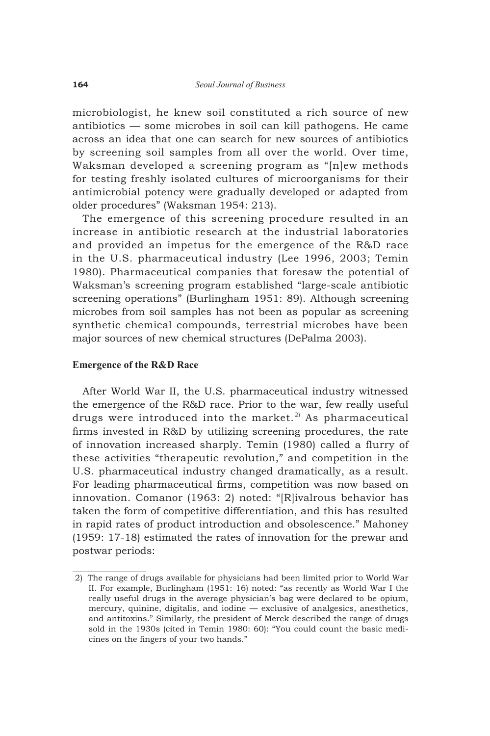microbiologist, he knew soil constituted a rich source of new antibiotics — some microbes in soil can kill pathogens. He came across an idea that one can search for new sources of antibiotics by screening soil samples from all over the world. Over time, Waksman developed a screening program as "[n]ew methods for testing freshly isolated cultures of microorganisms for their antimicrobial potency were gradually developed or adapted from older procedures" (Waksman 1954: 213).

The emergence of this screening procedure resulted in an increase in antibiotic research at the industrial laboratories and provided an impetus for the emergence of the R&D race in the U.S. pharmaceutical industry (Lee 1996, 2003; Temin 1980). Pharmaceutical companies that foresaw the potential of Waksman's screening program established "large-scale antibiotic screening operations" (Burlingham 1951: 89). Although screening microbes from soil samples has not been as popular as screening synthetic chemical compounds, terrestrial microbes have been major sources of new chemical structures (DePalma 2003).

#### **Emergence of the R&D Race**

After World War II, the U.S. pharmaceutical industry witnessed the emergence of the R&D race. Prior to the war, few really useful drugs were introduced into the market.<sup>2)</sup> As pharmaceutical firms invested in R&D by utilizing screening procedures, the rate of innovation increased sharply. Temin (1980) called a flurry of these activities "therapeutic revolution," and competition in the U.S. pharmaceutical industry changed dramatically, as a result. For leading pharmaceutical firms, competition was now based on innovation. Comanor (1963: 2) noted: "[R]ivalrous behavior has taken the form of competitive differentiation, and this has resulted in rapid rates of product introduction and obsolescence." Mahoney (1959: 17-18) estimated the rates of innovation for the prewar and postwar periods:

 <sup>2)</sup> The range of drugs available for physicians had been limited prior to World War II. For example, Burlingham (1951: 16) noted: "as recently as World War I the really useful drugs in the average physician's bag were declared to be opium, mercury, quinine, digitalis, and iodine — exclusive of analgesics, anesthetics, and antitoxins." Similarly, the president of Merck described the range of drugs sold in the 1930s (cited in Temin 1980: 60): "You could count the basic medicines on the fingers of your two hands."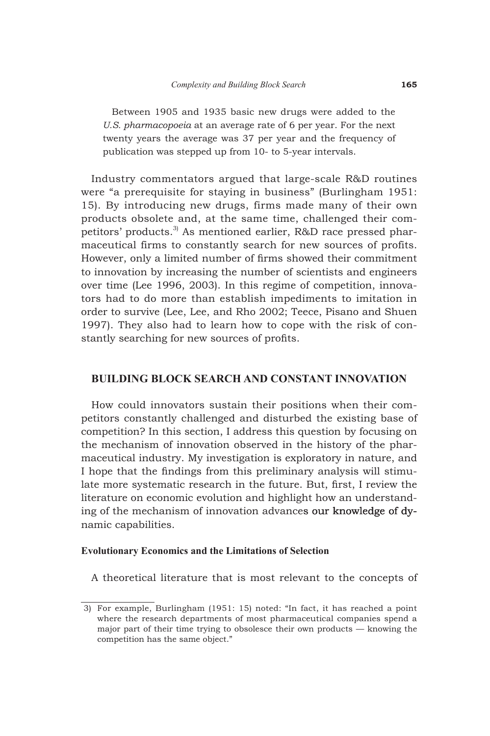Between 1905 and 1935 basic new drugs were added to the *U.S. pharmacopoeia* at an average rate of 6 per year. For the next twenty years the average was 37 per year and the frequency of publication was stepped up from 10- to 5-year intervals.

Industry commentators argued that large-scale R&D routines were "a prerequisite for staying in business" (Burlingham 1951: 15). By introducing new drugs, firms made many of their own products obsolete and, at the same time, challenged their competitors' products.<sup>3)</sup> As mentioned earlier, R&D race pressed pharmaceutical firms to constantly search for new sources of profits. However, only a limited number of firms showed their commitment to innovation by increasing the number of scientists and engineers over time (Lee 1996, 2003). In this regime of competition, innovators had to do more than establish impediments to imitation in order to survive (Lee, Lee, and Rho 2002; Teece, Pisano and Shuen 1997). They also had to learn how to cope with the risk of constantly searching for new sources of profits.

## **BUILDING BLOCK SEARCH AND CONSTANT INNOVATION**

How could innovators sustain their positions when their competitors constantly challenged and disturbed the existing base of competition? In this section, I address this question by focusing on the mechanism of innovation observed in the history of the pharmaceutical industry. My investigation is exploratory in nature, and I hope that the findings from this preliminary analysis will stimulate more systematic research in the future. But, first, I review the literature on economic evolution and highlight how an understanding of the mechanism of innovation advances our knowledge of dynamic capabilities.

## **Evolutionary Economics and the Limitations of Selection**

A theoretical literature that is most relevant to the concepts of

 <sup>3)</sup> For example, Burlingham (1951: 15) noted: "In fact, it has reached a point where the research departments of most pharmaceutical companies spend a major part of their time trying to obsolesce their own products — knowing the competition has the same object."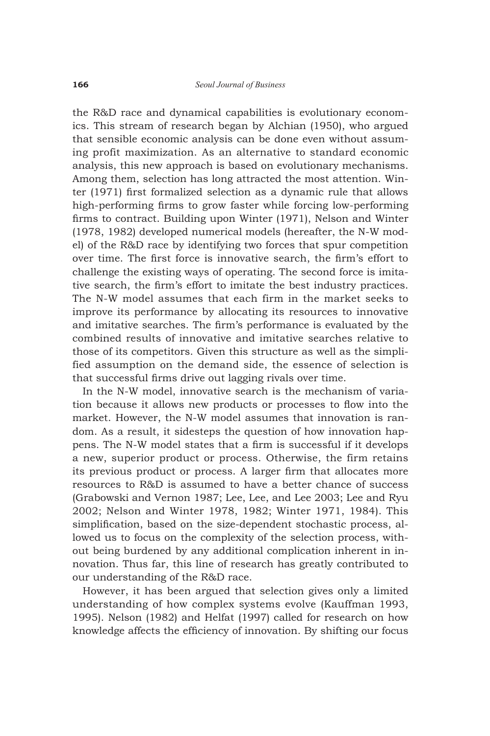the R&D race and dynamical capabilities is evolutionary economics. This stream of research began by Alchian (1950), who argued that sensible economic analysis can be done even without assuming profit maximization. As an alternative to standard economic analysis, this new approach is based on evolutionary mechanisms. Among them, selection has long attracted the most attention. Winter (1971) first formalized selection as a dynamic rule that allows high-performing firms to grow faster while forcing low-performing firms to contract. Building upon Winter (1971), Nelson and Winter (1978, 1982) developed numerical models (hereafter, the N-W model) of the R&D race by identifying two forces that spur competition over time. The first force is innovative search, the firm's effort to challenge the existing ways of operating. The second force is imitative search, the firm's effort to imitate the best industry practices. The N-W model assumes that each firm in the market seeks to improve its performance by allocating its resources to innovative and imitative searches. The firm's performance is evaluated by the combined results of innovative and imitative searches relative to those of its competitors. Given this structure as well as the simplified assumption on the demand side, the essence of selection is that successful firms drive out lagging rivals over time.

In the N-W model, innovative search is the mechanism of variation because it allows new products or processes to flow into the market. However, the N-W model assumes that innovation is random. As a result, it sidesteps the question of how innovation happens. The N-W model states that a firm is successful if it develops a new, superior product or process. Otherwise, the firm retains its previous product or process. A larger firm that allocates more resources to R&D is assumed to have a better chance of success (Grabowski and Vernon 1987; Lee, Lee, and Lee 2003; Lee and Ryu 2002; Nelson and Winter 1978, 1982; Winter 1971, 1984). This simplification, based on the size-dependent stochastic process, allowed us to focus on the complexity of the selection process, without being burdened by any additional complication inherent in innovation. Thus far, this line of research has greatly contributed to our understanding of the R&D race.

However, it has been argued that selection gives only a limited understanding of how complex systems evolve (Kauffman 1993, 1995). Nelson (1982) and Helfat (1997) called for research on how knowledge affects the efficiency of innovation. By shifting our focus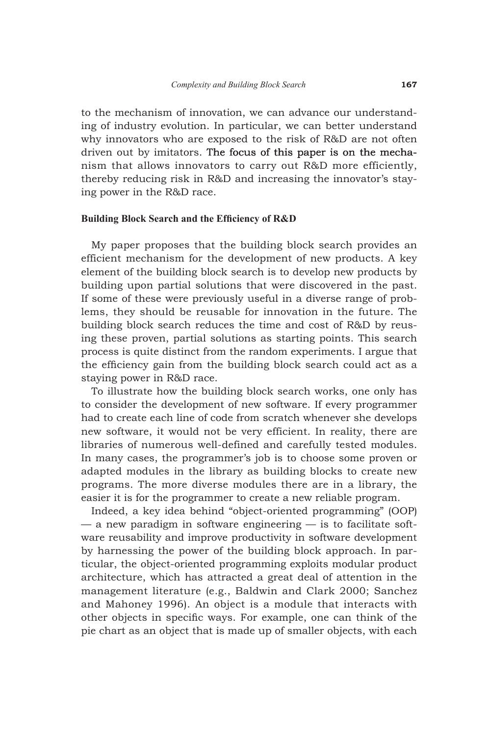to the mechanism of innovation, we can advance our understanding of industry evolution. In particular, we can better understand why innovators who are exposed to the risk of R&D are not often driven out by imitators. The focus of this paper is on the mechanism that allows innovators to carry out R&D more efficiently, thereby reducing risk in R&D and increasing the innovator's staying power in the R&D race.

#### **Building Block Search and the Efficiency of R&D**

My paper proposes that the building block search provides an efficient mechanism for the development of new products. A key element of the building block search is to develop new products by building upon partial solutions that were discovered in the past. If some of these were previously useful in a diverse range of problems, they should be reusable for innovation in the future. The building block search reduces the time and cost of R&D by reusing these proven, partial solutions as starting points. This search process is quite distinct from the random experiments. I argue that the efficiency gain from the building block search could act as a staying power in R&D race.

To illustrate how the building block search works, one only has to consider the development of new software. If every programmer had to create each line of code from scratch whenever she develops new software, it would not be very efficient. In reality, there are libraries of numerous well-defined and carefully tested modules. In many cases, the programmer's job is to choose some proven or adapted modules in the library as building blocks to create new programs. The more diverse modules there are in a library, the easier it is for the programmer to create a new reliable program.

Indeed, a key idea behind "object-oriented programming" (OOP)  $-$  a new paradigm in software engineering  $-$  is to facilitate software reusability and improve productivity in software development by harnessing the power of the building block approach. In particular, the object-oriented programming exploits modular product architecture, which has attracted a great deal of attention in the management literature (e.g., Baldwin and Clark 2000; Sanchez and Mahoney 1996). An object is a module that interacts with other objects in specific ways. For example, one can think of the pie chart as an object that is made up of smaller objects, with each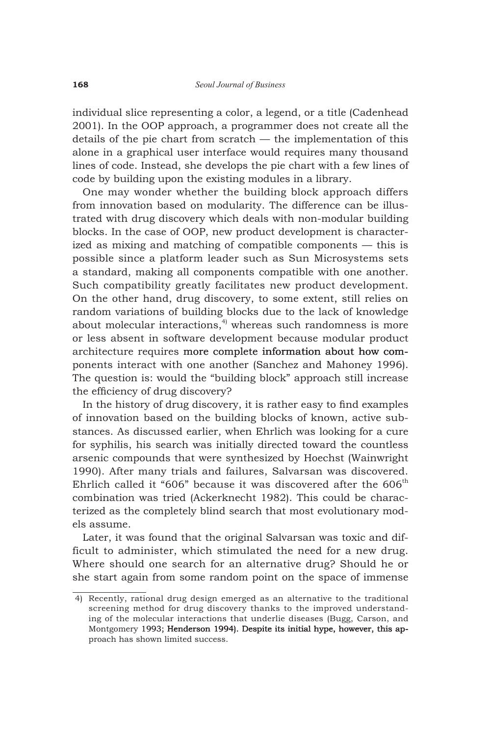individual slice representing a color, a legend, or a title (Cadenhead 2001). In the OOP approach, a programmer does not create all the details of the pie chart from scratch — the implementation of this alone in a graphical user interface would requires many thousand lines of code. Instead, she develops the pie chart with a few lines of code by building upon the existing modules in a library.

One may wonder whether the building block approach differs from innovation based on modularity. The difference can be illustrated with drug discovery which deals with non-modular building blocks. In the case of OOP, new product development is characterized as mixing and matching of compatible components — this is possible since a platform leader such as Sun Microsystems sets a standard, making all components compatible with one another. Such compatibility greatly facilitates new product development. On the other hand, drug discovery, to some extent, still relies on random variations of building blocks due to the lack of knowledge about molecular interactions, $4$ <sup>)</sup> whereas such randomness is more or less absent in software development because modular product architecture requires more complete information about how components interact with one another (Sanchez and Mahoney 1996). The question is: would the "building block" approach still increase the efficiency of drug discovery?

In the history of drug discovery, it is rather easy to find examples of innovation based on the building blocks of known, active substances. As discussed earlier, when Ehrlich was looking for a cure for syphilis, his search was initially directed toward the countless arsenic compounds that were synthesized by Hoechst (Wainwright 1990). After many trials and failures, Salvarsan was discovered. Ehrlich called it "606" because it was discovered after the  $606<sup>th</sup>$ combination was tried (Ackerknecht 1982). This could be characterized as the completely blind search that most evolutionary models assume.

Later, it was found that the original Salvarsan was toxic and difficult to administer, which stimulated the need for a new drug. Where should one search for an alternative drug? Should he or she start again from some random point on the space of immense

 <sup>4)</sup> Recently, rational drug design emerged as an alternative to the traditional screening method for drug discovery thanks to the improved understanding of the molecular interactions that underlie diseases (Bugg, Carson, and Montgomery 1993; Henderson 1994). Despite its initial hype, however, this approach has shown limited success.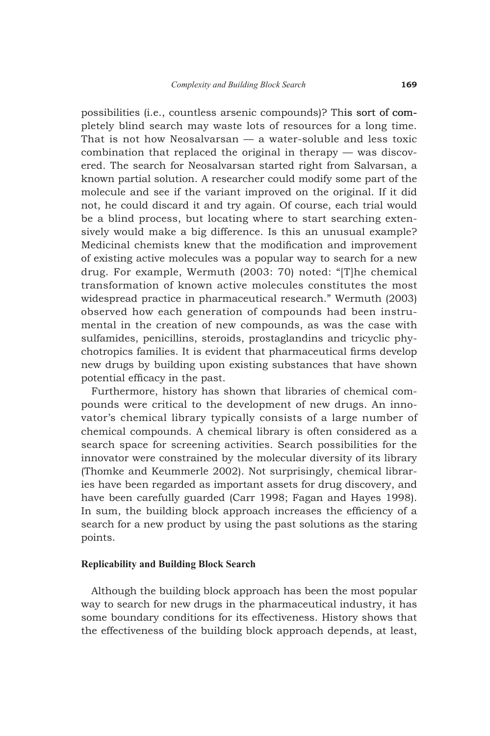possibilities (i.e., countless arsenic compounds)? This sort of completely blind search may waste lots of resources for a long time. That is not how Neosalvarsan — a water-soluble and less toxic combination that replaced the original in therapy — was discovered. The search for Neosalvarsan started right from Salvarsan, a known partial solution. A researcher could modify some part of the molecule and see if the variant improved on the original. If it did not, he could discard it and try again. Of course, each trial would be a blind process, but locating where to start searching extensively would make a big difference. Is this an unusual example? Medicinal chemists knew that the modification and improvement of existing active molecules was a popular way to search for a new drug. For example, Wermuth (2003: 70) noted: "[T]he chemical transformation of known active molecules constitutes the most widespread practice in pharmaceutical research." Wermuth (2003) observed how each generation of compounds had been instrumental in the creation of new compounds, as was the case with sulfamides, penicillins, steroids, prostaglandins and tricyclic phychotropics families. It is evident that pharmaceutical firms develop new drugs by building upon existing substances that have shown potential efficacy in the past.

Furthermore, history has shown that libraries of chemical compounds were critical to the development of new drugs. An innovator's chemical library typically consists of a large number of chemical compounds. A chemical library is often considered as a search space for screening activities. Search possibilities for the innovator were constrained by the molecular diversity of its library (Thomke and Keummerle 2002). Not surprisingly, chemical libraries have been regarded as important assets for drug discovery, and have been carefully guarded (Carr 1998; Fagan and Hayes 1998). In sum, the building block approach increases the efficiency of a search for a new product by using the past solutions as the staring points.

#### **Replicability and Building Block Search**

Although the building block approach has been the most popular way to search for new drugs in the pharmaceutical industry, it has some boundary conditions for its effectiveness. History shows that the effectiveness of the building block approach depends, at least,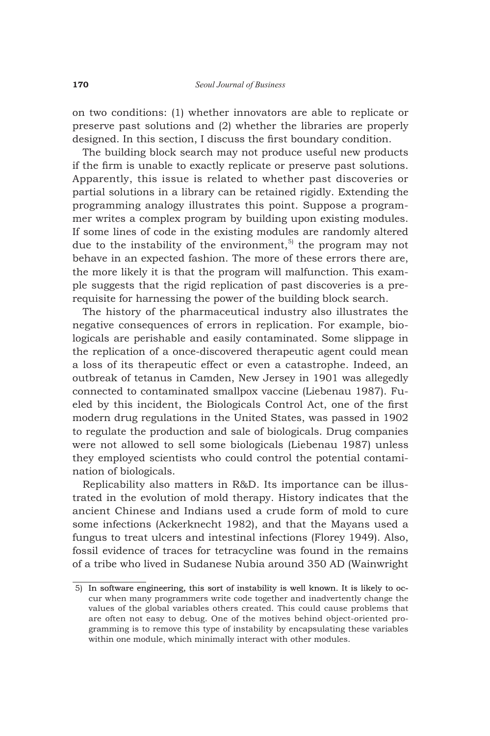on two conditions: (1) whether innovators are able to replicate or preserve past solutions and (2) whether the libraries are properly designed. In this section, I discuss the first boundary condition.

The building block search may not produce useful new products if the firm is unable to exactly replicate or preserve past solutions. Apparently, this issue is related to whether past discoveries or partial solutions in a library can be retained rigidly. Extending the programming analogy illustrates this point. Suppose a programmer writes a complex program by building upon existing modules. If some lines of code in the existing modules are randomly altered due to the instability of the environment, $5$  the program may not behave in an expected fashion. The more of these errors there are, the more likely it is that the program will malfunction. This example suggests that the rigid replication of past discoveries is a prerequisite for harnessing the power of the building block search.

The history of the pharmaceutical industry also illustrates the negative consequences of errors in replication. For example, biologicals are perishable and easily contaminated. Some slippage in the replication of a once-discovered therapeutic agent could mean a loss of its therapeutic effect or even a catastrophe. Indeed, an outbreak of tetanus in Camden, New Jersey in 1901 was allegedly connected to contaminated smallpox vaccine (Liebenau 1987). Fueled by this incident, the Biologicals Control Act, one of the first modern drug regulations in the United States, was passed in 1902 to regulate the production and sale of biologicals. Drug companies were not allowed to sell some biologicals (Liebenau 1987) unless they employed scientists who could control the potential contamination of biologicals.

Replicability also matters in R&D. Its importance can be illustrated in the evolution of mold therapy. History indicates that the ancient Chinese and Indians used a crude form of mold to cure some infections (Ackerknecht 1982), and that the Mayans used a fungus to treat ulcers and intestinal infections (Florey 1949). Also, fossil evidence of traces for tetracycline was found in the remains of a tribe who lived in Sudanese Nubia around 350 AD (Wainwright

 <sup>5)</sup> In software engineering, this sort of instability is well known. It is likely to occur when many programmers write code together and inadvertently change the values of the global variables others created. This could cause problems that are often not easy to debug. One of the motives behind object-oriented programming is to remove this type of instability by encapsulating these variables within one module, which minimally interact with other modules.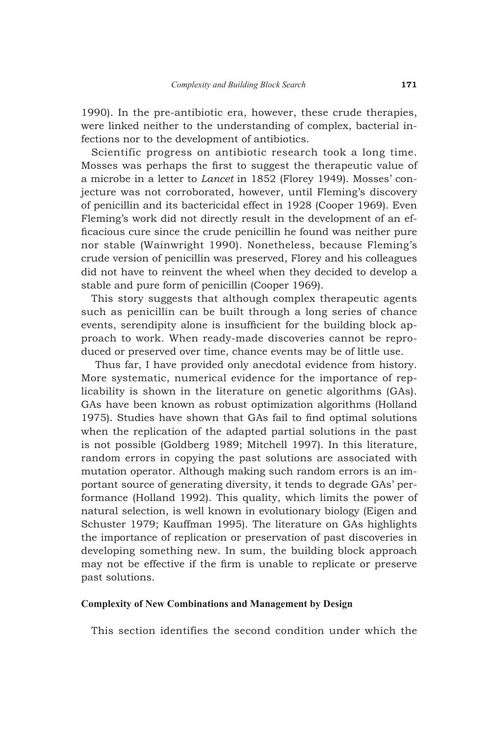1990). In the pre-antibiotic era, however, these crude therapies, were linked neither to the understanding of complex, bacterial infections nor to the development of antibiotics.

Scientific progress on antibiotic research took a long time. Mosses was perhaps the first to suggest the therapeutic value of a microbe in a letter to *Lancet* in 1852 (Florey 1949). Mosses' conjecture was not corroborated, however, until Fleming's discovery of penicillin and its bactericidal effect in 1928 (Cooper 1969). Even Fleming's work did not directly result in the development of an efficacious cure since the crude penicillin he found was neither pure nor stable (Wainwright 1990). Nonetheless, because Fleming's crude version of penicillin was preserved, Florey and his colleagues did not have to reinvent the wheel when they decided to develop a stable and pure form of penicillin (Cooper 1969).

This story suggests that although complex therapeutic agents such as penicillin can be built through a long series of chance events, serendipity alone is insufficient for the building block approach to work. When ready-made discoveries cannot be reproduced or preserved over time, chance events may be of little use.

 Thus far, I have provided only anecdotal evidence from history. More systematic, numerical evidence for the importance of replicability is shown in the literature on genetic algorithms (GAs). GAs have been known as robust optimization algorithms (Holland 1975). Studies have shown that GAs fail to find optimal solutions when the replication of the adapted partial solutions in the past is not possible (Goldberg 1989; Mitchell 1997). In this literature, random errors in copying the past solutions are associated with mutation operator. Although making such random errors is an important source of generating diversity, it tends to degrade GAs' performance (Holland 1992). This quality, which limits the power of natural selection, is well known in evolutionary biology (Eigen and Schuster 1979; Kauffman 1995). The literature on GAs highlights the importance of replication or preservation of past discoveries in developing something new. In sum, the building block approach may not be effective if the firm is unable to replicate or preserve past solutions.

## **Complexity of New Combinations and Management by Design**

This section identifies the second condition under which the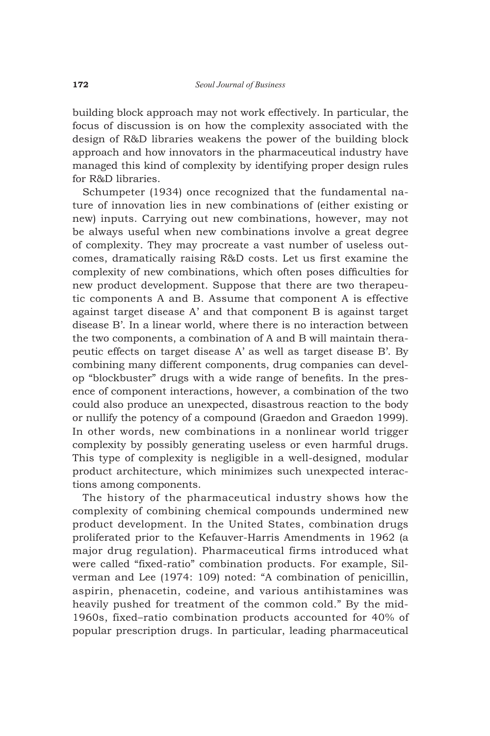building block approach may not work effectively. In particular, the focus of discussion is on how the complexity associated with the design of R&D libraries weakens the power of the building block approach and how innovators in the pharmaceutical industry have managed this kind of complexity by identifying proper design rules for R&D libraries.

Schumpeter (1934) once recognized that the fundamental nature of innovation lies in new combinations of (either existing or new) inputs. Carrying out new combinations, however, may not be always useful when new combinations involve a great degree of complexity. They may procreate a vast number of useless outcomes, dramatically raising R&D costs. Let us first examine the complexity of new combinations, which often poses difficulties for new product development. Suppose that there are two therapeutic components A and B. Assume that component A is effective against target disease A' and that component B is against target disease B'. In a linear world, where there is no interaction between the two components, a combination of A and B will maintain therapeutic effects on target disease A' as well as target disease B'. By combining many different components, drug companies can develop "blockbuster" drugs with a wide range of benefits. In the presence of component interactions, however, a combination of the two could also produce an unexpected, disastrous reaction to the body or nullify the potency of a compound (Graedon and Graedon 1999). In other words, new combinations in a nonlinear world trigger complexity by possibly generating useless or even harmful drugs. This type of complexity is negligible in a well-designed, modular product architecture, which minimizes such unexpected interactions among components.

The history of the pharmaceutical industry shows how the complexity of combining chemical compounds undermined new product development. In the United States, combination drugs proliferated prior to the Kefauver-Harris Amendments in 1962 (a major drug regulation). Pharmaceutical firms introduced what were called "fixed-ratio" combination products. For example, Silverman and Lee (1974: 109) noted: "A combination of penicillin, aspirin, phenacetin, codeine, and various antihistamines was heavily pushed for treatment of the common cold." By the mid-1960s, fixed–ratio combination products accounted for 40% of popular prescription drugs. In particular, leading pharmaceutical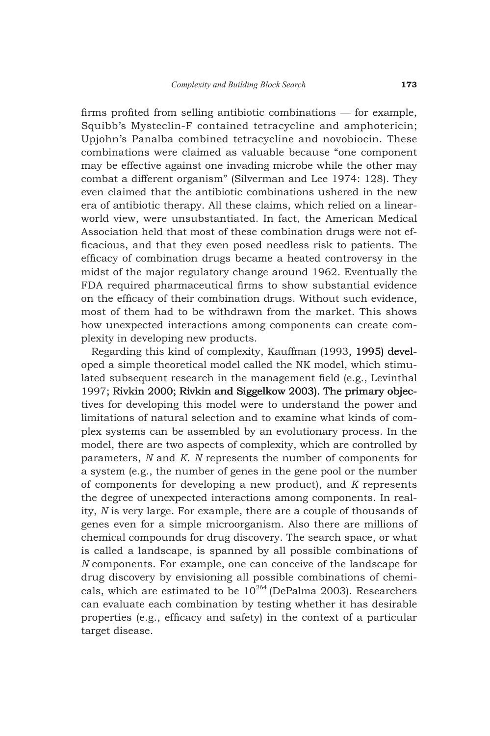firms profited from selling antibiotic combinations — for example, Squibb's Mysteclin-F contained tetracycline and amphotericin; Upjohn's Panalba combined tetracycline and novobiocin. These combinations were claimed as valuable because "one component may be effective against one invading microbe while the other may combat a different organism" (Silverman and Lee 1974: 128). They even claimed that the antibiotic combinations ushered in the new era of antibiotic therapy. All these claims, which relied on a linearworld view, were unsubstantiated. In fact, the American Medical Association held that most of these combination drugs were not efficacious, and that they even posed needless risk to patients. The efficacy of combination drugs became a heated controversy in the midst of the major regulatory change around 1962. Eventually the FDA required pharmaceutical firms to show substantial evidence on the efficacy of their combination drugs. Without such evidence, most of them had to be withdrawn from the market. This shows how unexpected interactions among components can create complexity in developing new products.

Regarding this kind of complexity, Kauffman (1993, 1995) developed a simple theoretical model called the NK model, which stimulated subsequent research in the management field (e.g., Levinthal 1997; Rivkin 2000; Rivkin and Siggelkow 2003). The primary objectives for developing this model were to understand the power and limitations of natural selection and to examine what kinds of complex systems can be assembled by an evolutionary process. In the model, there are two aspects of complexity, which are controlled by parameters, *N* and *K*. *N* represents the number of components for a system (e.g., the number of genes in the gene pool or the number of components for developing a new product), and *K* represents the degree of unexpected interactions among components. In reality, *N* is very large. For example, there are a couple of thousands of genes even for a simple microorganism. Also there are millions of chemical compounds for drug discovery. The search space, or what is called a landscape, is spanned by all possible combinations of *N* components. For example, one can conceive of the landscape for drug discovery by envisioning all possible combinations of chemicals, which are estimated to be  $10^{264}$  (DePalma 2003). Researchers can evaluate each combination by testing whether it has desirable properties (e.g., efficacy and safety) in the context of a particular target disease.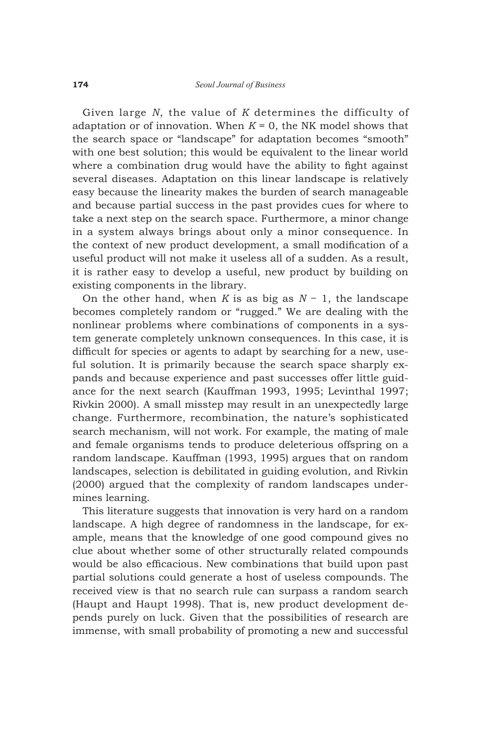Given large *N*, the value of *K* determines the difficulty of adaptation or of innovation. When  $K = 0$ , the NK model shows that the search space or "landscape" for adaptation becomes "smooth" with one best solution; this would be equivalent to the linear world where a combination drug would have the ability to fight against several diseases. Adaptation on this linear landscape is relatively easy because the linearity makes the burden of search manageable and because partial success in the past provides cues for where to take a next step on the search space. Furthermore, a minor change in a system always brings about only a minor consequence. In the context of new product development, a small modification of a useful product will not make it useless all of a sudden. As a result, it is rather easy to develop a useful, new product by building on existing components in the library.

On the other hand, when *K* is as big as *N* − 1, the landscape becomes completely random or "rugged." We are dealing with the nonlinear problems where combinations of components in a system generate completely unknown consequences. In this case, it is difficult for species or agents to adapt by searching for a new, useful solution. It is primarily because the search space sharply expands and because experience and past successes offer little guidance for the next search (Kauffman 1993, 1995; Levinthal 1997; Rivkin 2000). A small misstep may result in an unexpectedly large change. Furthermore, recombination, the nature's sophisticated search mechanism, will not work. For example, the mating of male and female organisms tends to produce deleterious offspring on a random landscape. Kauffman (1993, 1995) argues that on random landscapes, selection is debilitated in guiding evolution, and Rivkin (2000) argued that the complexity of random landscapes undermines learning.

This literature suggests that innovation is very hard on a random landscape. A high degree of randomness in the landscape, for example, means that the knowledge of one good compound gives no clue about whether some of other structurally related compounds would be also efficacious. New combinations that build upon past partial solutions could generate a host of useless compounds. The received view is that no search rule can surpass a random search (Haupt and Haupt 1998). That is, new product development depends purely on luck. Given that the possibilities of research are immense, with small probability of promoting a new and successful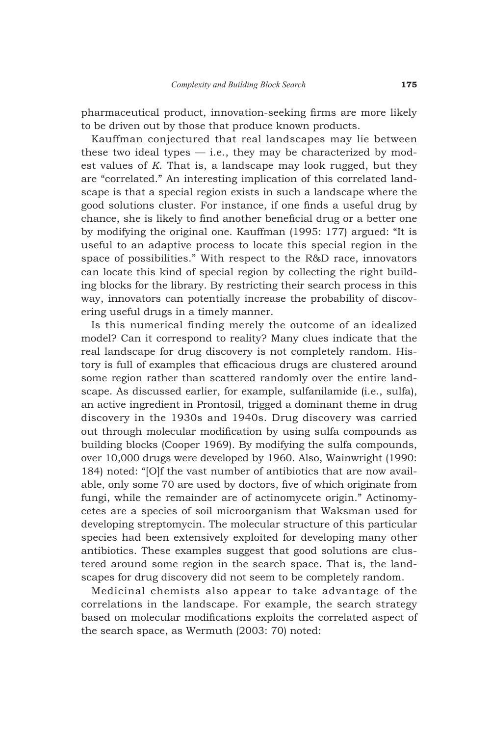pharmaceutical product, innovation-seeking firms are more likely to be driven out by those that produce known products.

Kauffman conjectured that real landscapes may lie between these two ideal types  $-$  i.e., they may be characterized by modest values of *K*. That is, a landscape may look rugged, but they are "correlated." An interesting implication of this correlated landscape is that a special region exists in such a landscape where the good solutions cluster. For instance, if one finds a useful drug by chance, she is likely to find another beneficial drug or a better one by modifying the original one. Kauffman (1995: 177) argued: "It is useful to an adaptive process to locate this special region in the space of possibilities." With respect to the R&D race, innovators can locate this kind of special region by collecting the right building blocks for the library. By restricting their search process in this way, innovators can potentially increase the probability of discovering useful drugs in a timely manner.

Is this numerical finding merely the outcome of an idealized model? Can it correspond to reality? Many clues indicate that the real landscape for drug discovery is not completely random. History is full of examples that efficacious drugs are clustered around some region rather than scattered randomly over the entire landscape. As discussed earlier, for example, sulfanilamide (i.e., sulfa), an active ingredient in Prontosil, trigged a dominant theme in drug discovery in the 1930s and 1940s. Drug discovery was carried out through molecular modification by using sulfa compounds as building blocks (Cooper 1969). By modifying the sulfa compounds, over 10,000 drugs were developed by 1960. Also, Wainwright (1990: 184) noted: "[O]f the vast number of antibiotics that are now available, only some 70 are used by doctors, five of which originate from fungi, while the remainder are of actinomycete origin." Actinomycetes are a species of soil microorganism that Waksman used for developing streptomycin. The molecular structure of this particular species had been extensively exploited for developing many other antibiotics. These examples suggest that good solutions are clustered around some region in the search space. That is, the landscapes for drug discovery did not seem to be completely random.

Medicinal chemists also appear to take advantage of the correlations in the landscape. For example, the search strategy based on molecular modifications exploits the correlated aspect of the search space, as Wermuth (2003: 70) noted: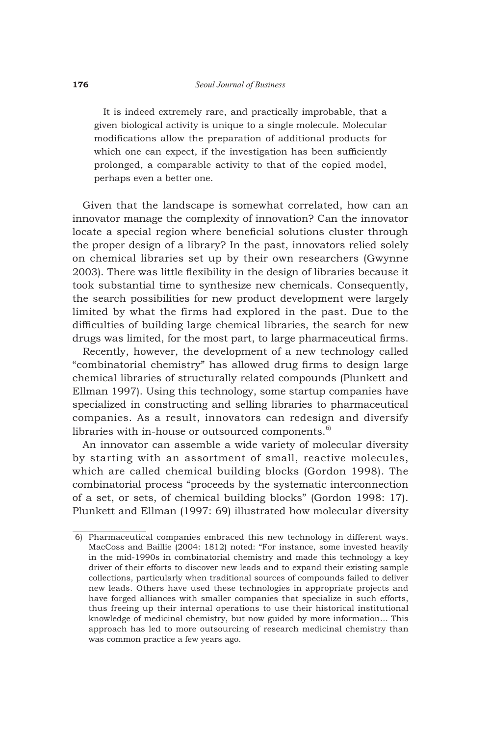It is indeed extremely rare, and practically improbable, that a given biological activity is unique to a single molecule. Molecular modifications allow the preparation of additional products for which one can expect, if the investigation has been sufficiently prolonged, a comparable activity to that of the copied model, perhaps even a better one.

Given that the landscape is somewhat correlated, how can an innovator manage the complexity of innovation? Can the innovator locate a special region where beneficial solutions cluster through the proper design of a library? In the past, innovators relied solely on chemical libraries set up by their own researchers (Gwynne 2003). There was little flexibility in the design of libraries because it took substantial time to synthesize new chemicals. Consequently, the search possibilities for new product development were largely limited by what the firms had explored in the past. Due to the difficulties of building large chemical libraries, the search for new drugs was limited, for the most part, to large pharmaceutical firms.

Recently, however, the development of a new technology called "combinatorial chemistry" has allowed drug firms to design large chemical libraries of structurally related compounds (Plunkett and Ellman 1997). Using this technology, some startup companies have specialized in constructing and selling libraries to pharmaceutical companies. As a result, innovators can redesign and diversify libraries with in-house or outsourced components. $6$ 

An innovator can assemble a wide variety of molecular diversity by starting with an assortment of small, reactive molecules, which are called chemical building blocks (Gordon 1998). The combinatorial process "proceeds by the systematic interconnection of a set, or sets, of chemical building blocks" (Gordon 1998: 17). Plunkett and Ellman (1997: 69) illustrated how molecular diversity

 <sup>6)</sup> Pharmaceutical companies embraced this new technology in different ways. MacCoss and Baillie (2004: 1812) noted: "For instance, some invested heavily in the mid-1990s in combinatorial chemistry and made this technology a key driver of their efforts to discover new leads and to expand their existing sample collections, particularly when traditional sources of compounds failed to deliver new leads. Others have used these technologies in appropriate projects and have forged alliances with smaller companies that specialize in such efforts, thus freeing up their internal operations to use their historical institutional knowledge of medicinal chemistry, but now guided by more information… This approach has led to more outsourcing of research medicinal chemistry than was common practice a few years ago.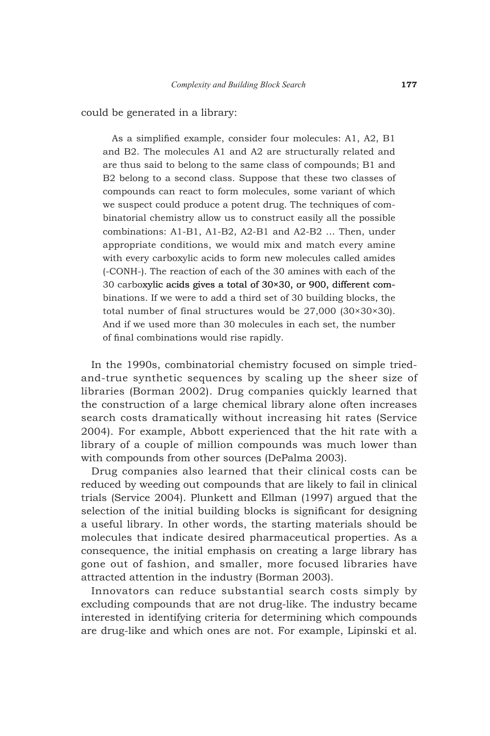could be generated in a library:

As a simplified example, consider four molecules: A1, A2, B1 and B2. The molecules A1 and A2 are structurally related and are thus said to belong to the same class of compounds; B1 and B2 belong to a second class. Suppose that these two classes of compounds can react to form molecules, some variant of which we suspect could produce a potent drug. The techniques of combinatorial chemistry allow us to construct easily all the possible combinations: A1-B1, A1-B2, A2-B1 and A2-B2 … Then, under appropriate conditions, we would mix and match every amine with every carboxylic acids to form new molecules called amides (-CONH-). The reaction of each of the 30 amines with each of the 30 carboxylic acids gives a total of  $30 \times 30$ , or 900, different combinations. If we were to add a third set of 30 building blocks, the total number of final structures would be 27,000 (30×30×30). And if we used more than 30 molecules in each set, the number of final combinations would rise rapidly.

In the 1990s, combinatorial chemistry focused on simple triedand-true synthetic sequences by scaling up the sheer size of libraries (Borman 2002). Drug companies quickly learned that the construction of a large chemical library alone often increases search costs dramatically without increasing hit rates (Service 2004). For example, Abbott experienced that the hit rate with a library of a couple of million compounds was much lower than with compounds from other sources (DePalma 2003).

Drug companies also learned that their clinical costs can be reduced by weeding out compounds that are likely to fail in clinical trials (Service 2004). Plunkett and Ellman (1997) argued that the selection of the initial building blocks is significant for designing a useful library. In other words, the starting materials should be molecules that indicate desired pharmaceutical properties. As a consequence, the initial emphasis on creating a large library has gone out of fashion, and smaller, more focused libraries have attracted attention in the industry (Borman 2003).

Innovators can reduce substantial search costs simply by excluding compounds that are not drug-like. The industry became interested in identifying criteria for determining which compounds are drug-like and which ones are not. For example, Lipinski et al.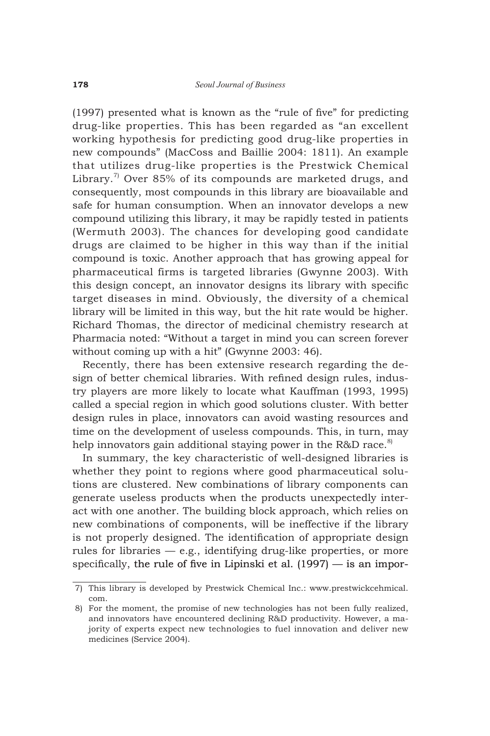(1997) presented what is known as the "rule of five" for predicting drug-like properties. This has been regarded as "an excellent working hypothesis for predicting good drug-like properties in new compounds" (MacCoss and Baillie 2004: 1811). An example that utilizes drug-like properties is the Prestwick Chemical Library.<sup>7</sup> Over 85% of its compounds are marketed drugs, and consequently, most compounds in this library are bioavailable and safe for human consumption. When an innovator develops a new compound utilizing this library, it may be rapidly tested in patients (Wermuth 2003). The chances for developing good candidate drugs are claimed to be higher in this way than if the initial compound is toxic. Another approach that has growing appeal for pharmaceutical firms is targeted libraries (Gwynne 2003). With this design concept, an innovator designs its library with specific target diseases in mind. Obviously, the diversity of a chemical library will be limited in this way, but the hit rate would be higher. Richard Thomas, the director of medicinal chemistry research at Pharmacia noted: "Without a target in mind you can screen forever without coming up with a hit" (Gwynne 2003: 46).

Recently, there has been extensive research regarding the design of better chemical libraries. With refined design rules, industry players are more likely to locate what Kauffman (1993, 1995) called a special region in which good solutions cluster. With better design rules in place, innovators can avoid wasting resources and time on the development of useless compounds. This, in turn, may help innovators gain additional staying power in the R&D race.<sup>8)</sup>

In summary, the key characteristic of well-designed libraries is whether they point to regions where good pharmaceutical solutions are clustered. New combinations of library components can generate useless products when the products unexpectedly interact with one another. The building block approach, which relies on new combinations of components, will be ineffective if the library is not properly designed. The identification of appropriate design rules for libraries — e.g., identifying drug-like properties, or more specifically, the rule of five in Lipinski et al. (1997) — is an impor-

 <sup>7)</sup> This library is developed by Prestwick Chemical Inc.: www.prestwickcehmical. com.

 <sup>8)</sup> For the moment, the promise of new technologies has not been fully realized, and innovators have encountered declining R&D productivity. However, a majority of experts expect new technologies to fuel innovation and deliver new medicines (Service 2004).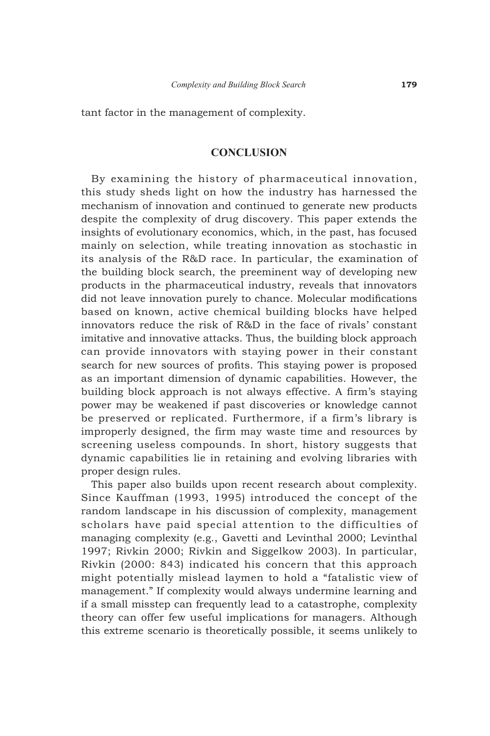tant factor in the management of complexity.

## **CONCLUSION**

By examining the history of pharmaceutical innovation, this study sheds light on how the industry has harnessed the mechanism of innovation and continued to generate new products despite the complexity of drug discovery. This paper extends the insights of evolutionary economics, which, in the past, has focused mainly on selection, while treating innovation as stochastic in its analysis of the R&D race. In particular, the examination of the building block search, the preeminent way of developing new products in the pharmaceutical industry, reveals that innovators did not leave innovation purely to chance. Molecular modifications based on known, active chemical building blocks have helped innovators reduce the risk of R&D in the face of rivals' constant imitative and innovative attacks. Thus, the building block approach can provide innovators with staying power in their constant search for new sources of profits. This staying power is proposed as an important dimension of dynamic capabilities. However, the building block approach is not always effective. A firm's staying power may be weakened if past discoveries or knowledge cannot be preserved or replicated. Furthermore, if a firm's library is improperly designed, the firm may waste time and resources by screening useless compounds. In short, history suggests that dynamic capabilities lie in retaining and evolving libraries with proper design rules.

This paper also builds upon recent research about complexity. Since Kauffman (1993, 1995) introduced the concept of the random landscape in his discussion of complexity, management scholars have paid special attention to the difficulties of managing complexity (e.g., Gavetti and Levinthal 2000; Levinthal 1997; Rivkin 2000; Rivkin and Siggelkow 2003). In particular, Rivkin (2000: 843) indicated his concern that this approach might potentially mislead laymen to hold a "fatalistic view of management." If complexity would always undermine learning and if a small misstep can frequently lead to a catastrophe, complexity theory can offer few useful implications for managers. Although this extreme scenario is theoretically possible, it seems unlikely to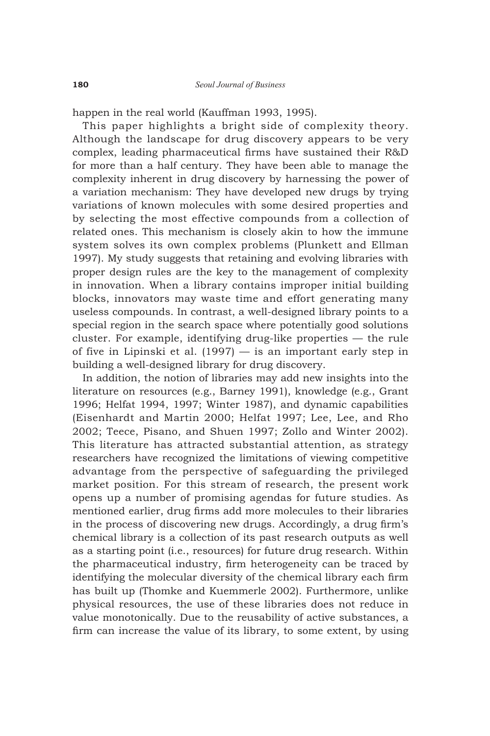happen in the real world (Kauffman 1993, 1995).

This paper highlights a bright side of complexity theory. Although the landscape for drug discovery appears to be very complex, leading pharmaceutical firms have sustained their R&D for more than a half century. They have been able to manage the complexity inherent in drug discovery by harnessing the power of a variation mechanism: They have developed new drugs by trying variations of known molecules with some desired properties and by selecting the most effective compounds from a collection of related ones. This mechanism is closely akin to how the immune system solves its own complex problems (Plunkett and Ellman 1997). My study suggests that retaining and evolving libraries with proper design rules are the key to the management of complexity in innovation. When a library contains improper initial building blocks, innovators may waste time and effort generating many useless compounds. In contrast, a well-designed library points to a special region in the search space where potentially good solutions cluster. For example, identifying drug-like properties — the rule of five in Lipinski et al. (1997) — is an important early step in building a well-designed library for drug discovery.

In addition, the notion of libraries may add new insights into the literature on resources (e.g., Barney 1991), knowledge (e.g., Grant 1996; Helfat 1994, 1997; Winter 1987), and dynamic capabilities (Eisenhardt and Martin 2000; Helfat 1997; Lee, Lee, and Rho 2002; Teece, Pisano, and Shuen 1997; Zollo and Winter 2002). This literature has attracted substantial attention, as strategy researchers have recognized the limitations of viewing competitive advantage from the perspective of safeguarding the privileged market position. For this stream of research, the present work opens up a number of promising agendas for future studies. As mentioned earlier, drug firms add more molecules to their libraries in the process of discovering new drugs. Accordingly, a drug firm's chemical library is a collection of its past research outputs as well as a starting point (i.e., resources) for future drug research. Within the pharmaceutical industry, firm heterogeneity can be traced by identifying the molecular diversity of the chemical library each firm has built up (Thomke and Kuemmerle 2002). Furthermore, unlike physical resources, the use of these libraries does not reduce in value monotonically. Due to the reusability of active substances, a firm can increase the value of its library, to some extent, by using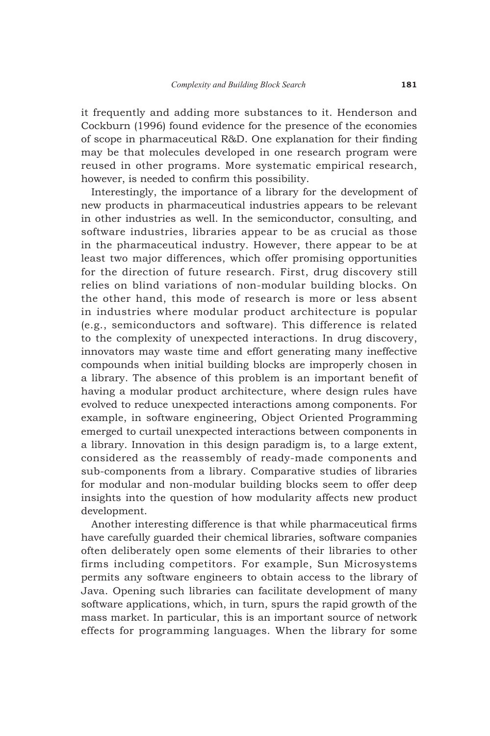it frequently and adding more substances to it. Henderson and Cockburn (1996) found evidence for the presence of the economies of scope in pharmaceutical R&D. One explanation for their finding may be that molecules developed in one research program were reused in other programs. More systematic empirical research, however, is needed to confirm this possibility.

Interestingly, the importance of a library for the development of new products in pharmaceutical industries appears to be relevant in other industries as well. In the semiconductor, consulting, and software industries, libraries appear to be as crucial as those in the pharmaceutical industry. However, there appear to be at least two major differences, which offer promising opportunities for the direction of future research. First, drug discovery still relies on blind variations of non-modular building blocks. On the other hand, this mode of research is more or less absent in industries where modular product architecture is popular (e.g., semiconductors and software). This difference is related to the complexity of unexpected interactions. In drug discovery, innovators may waste time and effort generating many ineffective compounds when initial building blocks are improperly chosen in a library. The absence of this problem is an important benefit of having a modular product architecture, where design rules have evolved to reduce unexpected interactions among components. For example, in software engineering, Object Oriented Programming emerged to curtail unexpected interactions between components in a library. Innovation in this design paradigm is, to a large extent, considered as the reassembly of ready-made components and sub-components from a library. Comparative studies of libraries for modular and non-modular building blocks seem to offer deep insights into the question of how modularity affects new product development.

Another interesting difference is that while pharmaceutical firms have carefully guarded their chemical libraries, software companies often deliberately open some elements of their libraries to other firms including competitors. For example, Sun Microsystems permits any software engineers to obtain access to the library of Java. Opening such libraries can facilitate development of many software applications, which, in turn, spurs the rapid growth of the mass market. In particular, this is an important source of network effects for programming languages. When the library for some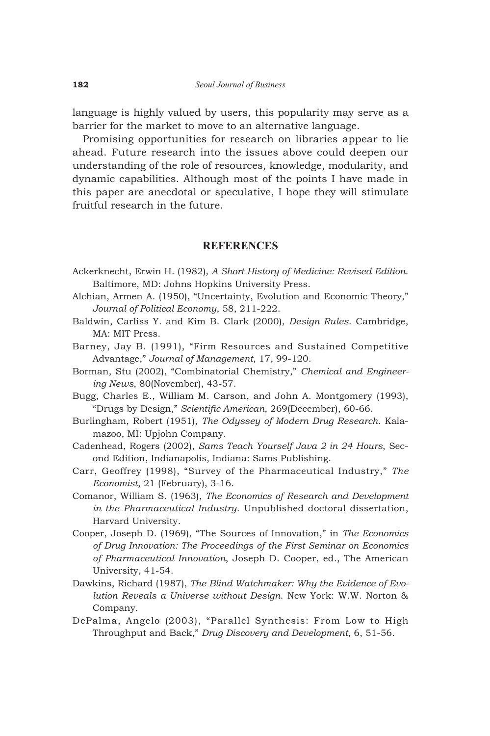language is highly valued by users, this popularity may serve as a barrier for the market to move to an alternative language.

Promising opportunities for research on libraries appear to lie ahead. Future research into the issues above could deepen our understanding of the role of resources, knowledge, modularity, and dynamic capabilities. Although most of the points I have made in this paper are anecdotal or speculative, I hope they will stimulate fruitful research in the future.

### **REFERENCES**

- Ackerknecht, Erwin H. (1982), *A Short History of Medicine: Revised Edition*. Baltimore, MD: Johns Hopkins University Press.
- Alchian, Armen A. (1950), "Uncertainty, Evolution and Economic Theory," *Journal of Political Economy*, 58, 211-222.
- Baldwin, Carliss Y. and Kim B. Clark (2000), *Design Rules*. Cambridge, MA: MIT Press.
- Barney, Jay B. (1991), "Firm Resources and Sustained Competitive Advantage," *Journal of Management*, 17, 99-120.
- Borman, Stu (2002), "Combinatorial Chemistry," *Chemical and Engineering News*, 80(November), 43-57.
- Bugg, Charles E., William M. Carson, and John A. Montgomery (1993), "Drugs by Design," *Scientific American*, 269(December), 60-66.
- Burlingham, Robert (1951), *The Odyssey of Modern Drug Research*. Kalamazoo, MI: Upjohn Company.
- Cadenhead, Rogers (2002), *Sams Teach Yourself Java 2 in 24 Hours*, Second Edition, Indianapolis, Indiana: Sams Publishing.
- Carr, Geoffrey (1998), "Survey of the Pharmaceutical Industry," *The Economist*, 21 (February), 3-16.
- Comanor, William S. (1963), *The Economics of Research and Development in the Pharmaceutical Industry*. Unpublished doctoral dissertation, Harvard University.
- Cooper, Joseph D. (1969), "The Sources of Innovation," in *The Economics of Drug Innovation: The Proceedings of the First Seminar on Economics of Pharmaceutical Innovation*, Joseph D. Cooper, ed., The American University, 41-54.
- Dawkins, Richard (1987), *The Blind Watchmaker: Why the Evidence of Evolution Reveals a Universe without Design*. New York: W.W. Norton & Company.
- DePalma, Angelo (2003), "Parallel Synthesis: From Low to High Throughput and Back," *Drug Discovery and Development*, 6, 51-56.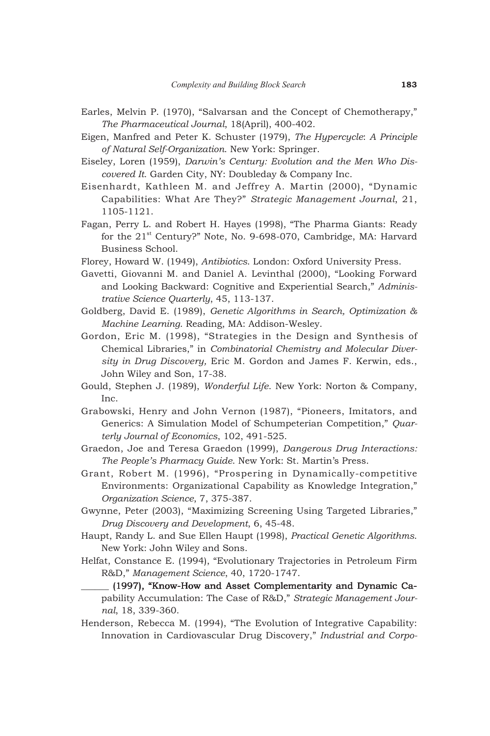- Earles, Melvin P. (1970), "Salvarsan and the Concept of Chemotherapy," *The Pharmaceutical Journal*, 18(April), 400-402.
- Eigen, Manfred and Peter K. Schuster (1979), *The Hypercycle*: *A Principle of Natural Self-Organization*. New York: Springer.
- Eiseley, Loren (1959), *Darwin's Century: Evolution and the Men Who Discovered It*. Garden City, NY: Doubleday & Company Inc.
- Eisenhardt, Kathleen M. and Jeffrey A. Martin (2000), "Dynamic Capabilities: What Are They?" *Strategic Management Journal*, 21, 1105-1121.
- Fagan, Perry L. and Robert H. Hayes (1998), "The Pharma Giants: Ready for the 21<sup>st</sup> Century?" Note, No. 9-698-070, Cambridge, MA: Harvard Business School.
- Florey, Howard W. (1949), *Antibiotics*. London: Oxford University Press.
- Gavetti, Giovanni M. and Daniel A. Levinthal (2000), "Looking Forward and Looking Backward: Cognitive and Experiential Search," *Administrative Science Quarterly*, 45, 113-137.
- Goldberg, David E. (1989), *Genetic Algorithms in Search, Optimization & Machine Learning*. Reading, MA: Addison-Wesley.
- Gordon, Eric M. (1998), "Strategies in the Design and Synthesis of Chemical Libraries," in *Combinatorial Chemistry and Molecular Diversity in Drug Discovery,* Eric M. Gordon and James F. Kerwin, eds., John Wiley and Son, 17-38.
- Gould, Stephen J. (1989), *Wonderful Life*. New York: Norton & Company, Inc.
- Grabowski, Henry and John Vernon (1987), "Pioneers, Imitators, and Generics: A Simulation Model of Schumpeterian Competition," *Quarterly Journal of Economics*, 102, 491-525.
- Graedon, Joe and Teresa Graedon (1999), *Dangerous Drug Interactions: The People's Pharmacy Guide*. New York: St. Martin's Press.
- Grant, Robert M. (1996), "Prospering in Dynamically-competitive Environments: Organizational Capability as Knowledge Integration," *Organization Science*, 7, 375-387.
- Gwynne, Peter (2003), "Maximizing Screening Using Targeted Libraries," *Drug Discovery and Development*, 6, 45-48.
- Haupt, Randy L. and Sue Ellen Haupt (1998), *Practical Genetic Algorithms*. New York: John Wiley and Sons.
- Helfat, Constance E. (1994), "Evolutionary Trajectories in Petroleum Firm R&D," *Management Science*, 40, 1720-1747.
	- \_\_\_\_\_\_ (1997), "Know-How and Asset Complementarity and Dynamic Ca- Dynamic ), Ca Capability Accumulation: The Case of R&D," *Strategic Management Journal*, 18, 339-360.
- Henderson, Rebecca M. (1994), "The Evolution of Integrative Capability: Innovation in Cardiovascular Drug Discovery," *Industrial and Corpo-*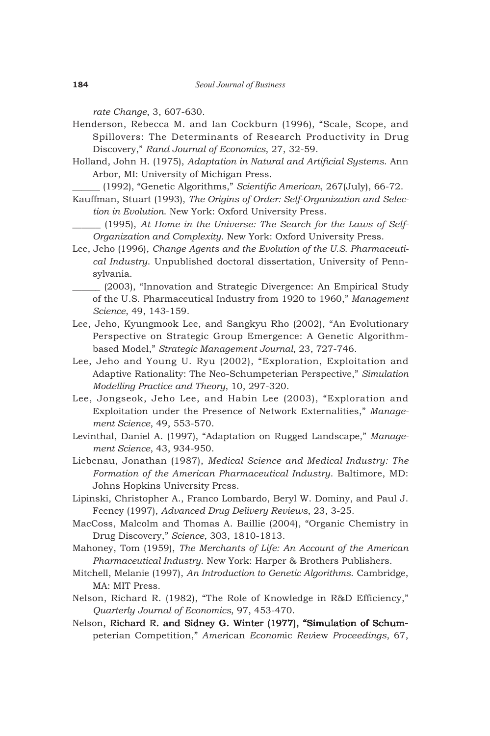*rate Change*, 3, 607-630.

- Henderson, Rebecca M. and Ian Cockburn (1996), "Scale, Scope, and Spillovers: The Determinants of Research Productivity in Drug Discovery," *Rand Journal of Economics*, 27, 32-59.
- Holland, John H. (1975), *Adaptation in Natural and Artificial Systems*. Ann Arbor, MI: University of Michigan Press.

\_\_\_\_\_\_ (1992), "Genetic Algorithms," *Scientific American*, 267(July), 66-72.

- Kauffman, Stuart (1993), *The Origins of Order: Self-Organization and Selection in Evolution*. New York: Oxford University Press.
	- \_\_\_\_\_\_ (1995), *At Home in the Universe: The Search for the Laws of Self-Organization and Complexity*. New York: Oxford University Press.
- Lee, Jeho (1996), *Change Agents and the Evolution of the U.S. Pharmaceutical Industry*. Unpublished doctoral dissertation, University of Pennsylvania.
	- \_\_\_\_\_\_ (2003), "Innovation and Strategic Divergence: An Empirical Study of the U.S. Pharmaceutical Industry from 1920 to 1960," *Management Science*, 49, 143-159.
- Lee, Jeho, Kyungmook Lee, and Sangkyu Rho (2002), "An Evolutionary Perspective on Strategic Group Emergence: A Genetic Algorithmbased Model," *Strategic Management Journal*, 23, 727-746.
- Lee, Jeho and Young U. Ryu (2002), "Exploration, Exploitation and Adaptive Rationality: The Neo-Schumpeterian Perspective," *Simulation Modelling Practice and Theory*, 10, 297-320.
- Lee, Jongseok, Jeho Lee, and Habin Lee (2003), "Exploration and Exploitation under the Presence of Network Externalities," *Management Science*, 49, 553-570.
- Levinthal, Daniel A. (1997), "Adaptation on Rugged Landscape," *Management Science*, 43, 934-950.
- Liebenau, Jonathan (1987), *Medical Science and Medical Industry: The Formation of the American Pharmaceutical Industry*. Baltimore, MD: Johns Hopkins University Press.
- Lipinski, Christopher A., Franco Lombardo, Beryl W. Dominy, and Paul J. Feeney (1997), *Advanced Drug Delivery Reviews*, 23, 3-25.
- MacCoss, Malcolm and Thomas A. Baillie (2004), "Organic Chemistry in Drug Discovery," *Science*, 303, 1810-1813.
- Mahoney, Tom (1959), *The Merchants of Life: An Account of the American Pharmaceutical Industry*. New York: Harper & Brothers Publishers.
- Mitchell, Melanie (1997), *An Introduction to Genetic Algorithms*. Cambridge, MA: MIT Press.
- Nelson, Richard R. (1982), "The Role of Knowledge in R&D Efficiency," *Quarterly Journal of Economics*, 97, 453-470.
- Nelson, Richard R. and Sidney G. Winter (1977), "Simulation of Schumpeterian Competition," *Amer*ican *Econom*ic *Rev*iew *Proceedings*, 67,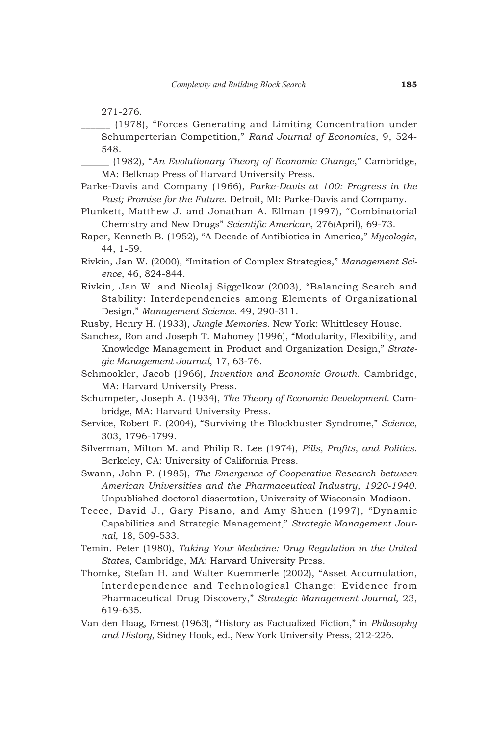271-276.

\_\_\_\_\_\_ (1978), "Forces Generating and Limiting Concentration under Schumperterian Competition," *Rand Journal of Economics*, 9, 524- 548.

\_\_\_\_\_\_ (1982), "*An Evolutionary Theory of Economic Change*," Cambridge, MA: Belknap Press of Harvard University Press.

Parke-Davis and Company (1966), *Parke-Davis at 100: Progress in the Past; Promise for the Future*. Detroit, MI: Parke-Davis and Company.

- Plunkett, Matthew J. and Jonathan A. Ellman (1997), "Combinatorial Chemistry and New Drugs" *Scientific American*, 276(April), 69-73.
- Raper, Kenneth B. (1952), "A Decade of Antibiotics in America," *Mycologia*, 44, 1-59.
- Rivkin, Jan W. (2000), "Imitation of Complex Strategies," *Management Science*, 46, 824-844.
- Rivkin, Jan W. and Nicolaj Siggelkow (2003), "Balancing Search and Stability: Interdependencies among Elements of Organizational Design," *Management Science*, 49, 290-311.

Rusby, Henry H. (1933), *Jungle Memories*. New York: Whittlesey House.

Sanchez, Ron and Joseph T. Mahoney (1996), "Modularity, Flexibility, and Knowledge Management in Product and Organization Design," *Strategic Management Journal*, 17, 63-76.

Schmookler, Jacob (1966), *Invention and Economic Growth*. Cambridge, MA: Harvard University Press.

- Schumpeter, Joseph A. (1934), *The Theory of Economic Development*. Cambridge, MA: Harvard University Press.
- Service, Robert F. (2004), "Surviving the Blockbuster Syndrome," *Science*, 303, 1796-1799.

Silverman, Milton M. and Philip R. Lee (1974), *Pills, Profits, and Politics*. Berkeley, CA: University of California Press.

Swann, John P. (1985), *The Emergence of Cooperative Research between American Universities and the Pharmaceutical Industry, 1920-1940*. Unpublished doctoral dissertation, University of Wisconsin-Madison.

Teece, David J., Gary Pisano, and Amy Shuen (1997), "Dynamic Capabilities and Strategic Management," *Strategic Management Journal*, 18, 509-533.

Temin, Peter (1980), *Taking Your Medicine: Drug Regulation in the United States*, Cambridge, MA: Harvard University Press.

- Thomke, Stefan H. and Walter Kuemmerle (2002), "Asset Accumulation, Interdependence and Technological Change: Evidence from Pharmaceutical Drug Discovery," *Strategic Management Journal*, 23, 619-635.
- Van den Haag, Ernest (1963), "History as Factualized Fiction," in *Philosophy and History*, Sidney Hook, ed., New York University Press, 212-226.